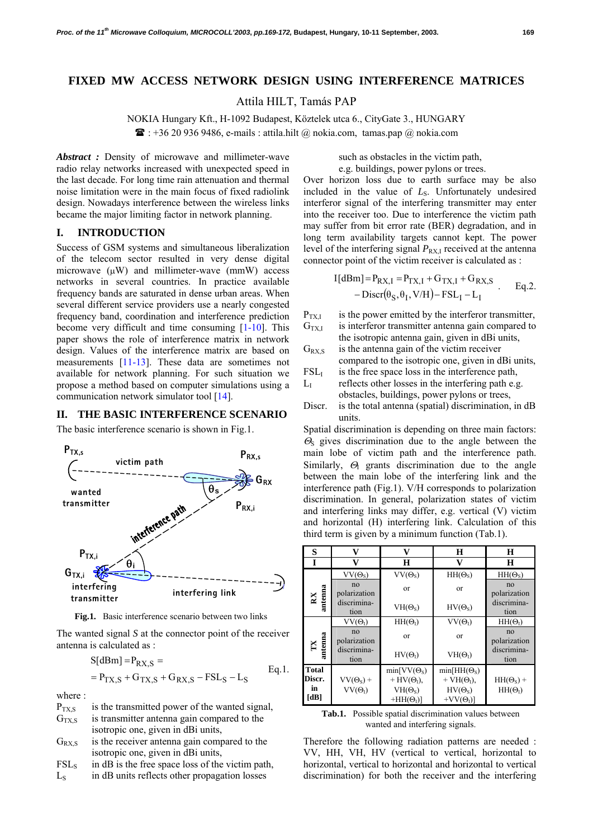## **FIXED MW ACCESS NETWORK DESIGN USING INTERFERENCE MATRICES**

Attila HILT, Tamás PAP

NOKIA Hungary Kft., H-1092 Budapest, Köztelek utca 6., CityGate 3., HUNGARY

 $\mathbf{B}$ : +36 20 936 9486, e-mails : attila.hilt @ nokia.com, tamas.pap @ nokia.com

*Abstract :* Density of microwave and millimeter-wave radio relay networks increased with unexpected speed in the last decade. For long time rain attenuation and thermal noise limitation were in the main focus of fixed radiolink design. Nowadays interference between the wireless links became the major limiting factor in network planning.

#### **I. INTRODUCTION**

Success of GSM systems and simultaneous liberalization of the telecom sector resulted in very dense digital microwave  $(\mu W)$  and millimeter-wave (mmW) access networks in several countries. In practice available frequency bands are saturated in dense urban areas. When several different service providers use a nearly congested frequency band, coordination and interference prediction become very difficult and time consuming [1-10]. This paper shows the role of interference matrix in network design. Values of the interference matrix are based on measurements [11-13]. These data are sometimes not available for network planning. For such situation we propose a method based on computer simulations using a communication network simulator tool [14].

#### **II. THE BASIC INTERFERENCE SCENARIO**

The basic interference scenario is shown in Fig.1.



Fig.1. Basic interference scenario between two links

The wanted signal *S* at the connector point of the receiver antenna is calculated as :

$$
S[dBm] = P_{RX,S} =
$$
  
= P<sub>TX,S</sub> + G<sub>TX,S</sub> + G<sub>RX,S</sub> - FSL<sub>S</sub> - L<sub>S</sub> Eq.1.

where :

| $P_{TX,S}$                                    | is the transmitted power of the wanted signal,   |
|-----------------------------------------------|--------------------------------------------------|
| $G_{TX,S}$                                    | is transmitter antenna gain compared to the      |
|                                               | isotropic one, given in dBi units,               |
| $G_{\rm RXS}$                                 | is the receiver antenna gain compared to the     |
|                                               | isotropic one, given in dBi units,               |
| $\mathop{\mathrm{FSL}}\nolimits_{\mathrm{S}}$ | in dB is the free space loss of the victim path, |
|                                               | $\mathbf{1}$                                     |

 $L<sub>S</sub>$  in dB units reflects other propagation losses

# such as obstacles in the victim path,

e.g. buildings, power pylons or trees. Over horizon loss due to earth surface may be also included in the value of *L*<sub>S</sub>. Unfortunately undesired interferor signal of the interfering transmitter may enter into the receiver too. Due to interference the victim path

may suffer from bit error rate (BER) degradation, and in long term availability targets cannot kept. The power level of the interfering signal  $P_{RX}$  received at the antenna connector point of the victim receiver is calculated as :

$$
I[dBm] = P_{RX,I} = P_{TX,I} + G_{TX,I} + G_{RX,S}
$$
  
- 
$$
- Discr(\theta_S, \theta_I, V/H) - FSL_I - L_I
$$
 Eq.2.

 $P_{TXI}$  is the power emitted by the interferor transmitter,  $G<sub>TXI</sub>$  is interferor transmitter antenna gain compared to the isotropic antenna gain, given in dBi units

$$
G_{RX,S}
$$
 is the antenna gain, given in d51 and,

- compared to the isotropic one, given in dBi units,
- $FSL<sub>I</sub>$  is the free space loss in the interference path,  $L<sub>I</sub>$  reflects other losses in the interfering path e.g. obstacles, buildings, power pylons or trees,
- Discr. is the total antenna (spatial) discrimination, in dB units.

Spatial discrimination is depending on three main factors:  $\Theta$ <sub>S</sub> gives discrimination due to the angle between the main lobe of victim path and the interference path. Similarly,  $\Theta_1$  grants discrimination due to the angle between the main lobe of the interfering link and the interference path (Fig.1). V/H corresponds to polarization discrimination. In general, polarization states of victim and interfering links may differ, e.g. vertical (V) victim and horizontal (H) interfering link. Calculation of this third term is given by a minimum function (Tab.1).

| S                       | v                    | v                                   | H                                   | $\bf H$             |
|-------------------------|----------------------|-------------------------------------|-------------------------------------|---------------------|
| T                       | v                    | H                                   | v                                   | H                   |
|                         | $VV(\Theta_{\rm S})$ | $VV(\Theta_{S})$                    | $HH(\Theta_S)$                      | $HH(\Theta_{S})$    |
| antenna<br>$\mathbf{K}$ | no<br>polarization   | or                                  | or                                  | no<br>polarization  |
|                         | discrimina-<br>tion  | $VH(\Theta_{S})$                    | $HV(\Theta_{S})$                    | discrimina-<br>tion |
|                         | $VV(\Theta_1)$       | $HH(\Theta_1)$                      | $VV(\Theta_1)$                      | $HH(\Theta_I)$      |
|                         | no<br>polarization   | or                                  | or                                  | no<br>polarization  |
| antenna<br>XI           | discrimina-<br>tion  | $HV(\Theta_1)$                      | $VH(\Theta_1)$                      | discrimina-<br>tion |
| <b>Total</b>            |                      | $min[VV(\Theta_{S})]$               | $min[HH(\Theta_{S})]$               |                     |
| Discr.<br>in            | $VV(\Theta_{S}) +$   | $+ HV(\Theta_1),$                   | + VH $(\Theta_1)$ ,                 | $HH(\Theta_{S}) +$  |
| [dB]                    | $VV(\Theta_I)$       | $VH(\Theta_{S})$<br>$+HH(\Theta_1)$ | $HV(\Theta_{S})$<br>$+VV(\Theta_1)$ | $HH(\Theta_I)$      |

**Tab.1.** Possible spatial discrimination values between wanted and interfering signals.

Therefore the following radiation patterns are needed : VV, HH, VH, HV (vertical to vertical, horizontal to horizontal, vertical to horizontal and horizontal to vertical discrimination) for both the receiver and the interfering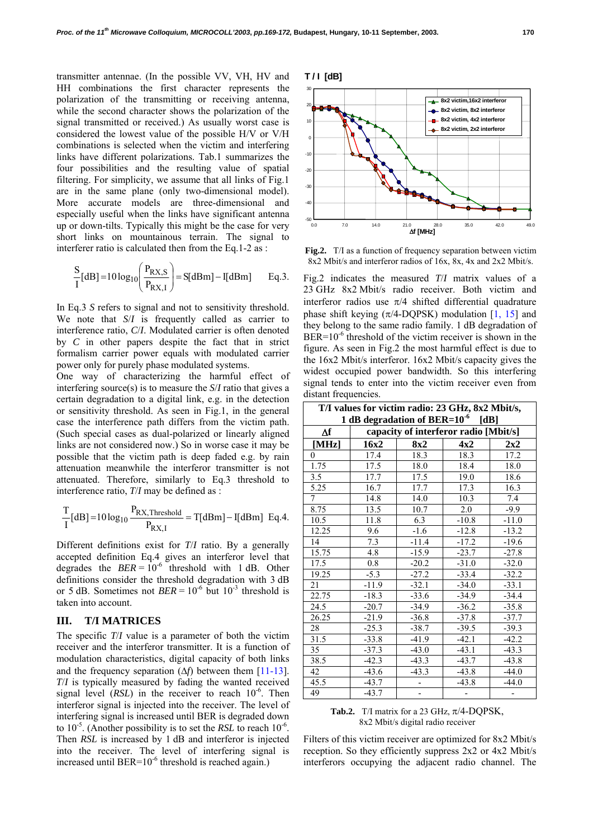transmitter antennae. (In the possible VV, VH, HV and HH combinations the first character represents the polarization of the transmitting or receiving antenna, while the second character shows the polarization of the signal transmitted or received.) As usually worst case is considered the lowest value of the possible H/V or V/H combinations is selected when the victim and interfering links have different polarizations. Tab.1 summarizes the four possibilities and the resulting value of spatial filtering. For simplicity, we assume that all links of Fig.1 are in the same plane (only two-dimensional model). More accurate models are three-dimensional and especially useful when the links have significant antenna up or down-tilts. Typically this might be the case for very short links on mountainous terrain. The signal to interferer ratio is calculated then from the Eq.1-2 as :

$$
\frac{S}{I}[dB] = 10 \log_{10} \left( \frac{P_{RX,S}}{P_{RX,I}} \right) = S[dBm] - I[dBm] \qquad Eq.3.
$$

In Eq.3 *S* refers to signal and not to sensitivity threshold. We note that *S*/*I* is frequently called as carrier to interference ratio, *C*/*I*. Modulated carrier is often denoted by *C* in other papers despite the fact that in strict formalism carrier power equals with modulated carrier power only for purely phase modulated systems.

One way of characterizing the harmful effect of interfering source(s) is to measure the *S*/*I* ratio that gives a certain degradation to a digital link, e.g. in the detection or sensitivity threshold. As seen in Fig.1, in the general case the interference path differs from the victim path. (Such special cases as dual-polarized or linearly aligned links are not considered now.) So in worse case it may be possible that the victim path is deep faded e.g. by rain attenuation meanwhile the interferor transmitter is not attenuated. Therefore, similarly to Eq.3 threshold to interference ratio, *T*/*I* may be defined as :

$$
\frac{T}{I}[dB] = 10\log_{10}\frac{P_{RX, Threshold}}{P_{RX,I}} = T[dBm] - I[dBm] \text{ Eq. 4.}
$$

Different definitions exist for *T*/*I* ratio. By a generally accepted definition Eq.4 gives an interferor level that degrades the  $BER = 10^{-6}$  threshold with 1 dB. Other definitions consider the threshold degradation with 3 dB or 5 dB. Sometimes not  $BER = 10^{-6}$  but  $10^{-3}$  threshold is taken into account.

### **III. T/I MATRICES**

The specific *T*/*I* value is a parameter of both the victim receiver and the interferor transmitter. It is a function of modulation characteristics, digital capacity of both links and the frequency separation  $(\Delta f)$  between them [11-13]. *T*/*I* is typically measured by fading the wanted received signal level  $(RSL)$  in the receiver to reach  $10^{-6}$ . Then interferor signal is injected into the receiver. The level of interfering signal is increased until BER is degraded down to  $10^{-5}$ . (Another possibility is to set the *RSL* to reach  $10^{-6}$ . Then *RSL* is increased by 1 dB and interferor is injected into the receiver. The level of interfering signal is increased until BER= $10^{-6}$  threshold is reached again.)



**Fig.2.** T/I as a function of frequency separation between victim 8x2 Mbit/s and interferor radios of 16x, 8x, 4x and 2x2 Mbit/s.

Fig.2 indicates the measured *T*/*I* matrix values of a 23 GHz 8x2 Mbit/s radio receiver. Both victim and interferor radios use  $\pi/4$  shifted differential quadrature phase shift keying  $(\pi/4\text{-DQPSK})$  modulation [1, 15] and they belong to the same radio family. 1 dB degradation of  $BER=10^{-6}$  threshold of the victim receiver is shown in the figure. As seen in Fig.2 the most harmful effect is due to the 16x2 Mbit/s interferor. 16x2 Mbit/s capacity gives the widest occupied power bandwidth. So this interfering signal tends to enter into the victim receiver even from distant frequencies.

| T/I values for victim radio: 23 GHz, 8x2 Mbit/s, |                                       |                          |         |         |  |  |  |  |
|--------------------------------------------------|---------------------------------------|--------------------------|---------|---------|--|--|--|--|
| 1 dB degradation of BER= $10^{-6}$<br>[dB]       |                                       |                          |         |         |  |  |  |  |
| $\Delta f$                                       | capacity of interferor radio [Mbit/s] |                          |         |         |  |  |  |  |
| [MHz]                                            | 16x2                                  | 8x2                      | 4x2     | 2x2     |  |  |  |  |
| $\theta$                                         | 17.4                                  | 18.3                     | 18.3    | 17.2    |  |  |  |  |
| 1.75                                             | 17.5                                  | 18.0                     | 18.4    | 18.0    |  |  |  |  |
| $3.\overline{5}$                                 | 17.7                                  | 17.5                     | 19.0    | 18.6    |  |  |  |  |
| 5.25                                             | 16.7                                  | 17.7                     | 17.3    | 16.3    |  |  |  |  |
| 7                                                | 14.8                                  | 14.0                     | 10.3    | 7.4     |  |  |  |  |
| 8.75                                             | 13.5                                  | 10.7                     | 2.0     | $-9.9$  |  |  |  |  |
| 10.5                                             | 11.8                                  | 6.3                      | $-10.8$ | $-11.0$ |  |  |  |  |
| 12.25                                            | 9.6                                   | $-1.6$                   | $-12.8$ | $-13.2$ |  |  |  |  |
| 14                                               | 7.3                                   | $-11.4$                  | $-17.2$ | $-19.6$ |  |  |  |  |
| 15.75                                            | 4.8                                   | $-15.9$                  | $-23.7$ | $-27.8$ |  |  |  |  |
| 17.5                                             | 0.8                                   | $-20.2$                  | $-31.0$ | $-32.0$ |  |  |  |  |
| 19.25                                            | $-5.3$                                | $-27.2$                  | $-33.4$ | $-32.2$ |  |  |  |  |
| $\overline{21}$                                  | $-11.9$                               | $-32.1$                  | $-34.0$ | $-33.1$ |  |  |  |  |
| 22.75                                            | $-18.3$                               | $-33.6$                  | $-34.9$ | $-34.4$ |  |  |  |  |
| 24.5                                             | $-20.7$                               | $-34.9$                  | $-36.2$ | $-35.8$ |  |  |  |  |
| 26.25                                            | $-21.9$                               | $-36.8$                  | $-37.8$ | $-37.7$ |  |  |  |  |
| 28                                               | $-25.3$                               | $-38.7$                  | $-39.5$ | $-39.3$ |  |  |  |  |
| 31.5                                             | $-33.8$                               | $-41.9$                  | $-42.1$ | $-42.2$ |  |  |  |  |
| 35                                               | $-37.3$                               | $-43.0$                  | $-43.1$ | $-43.3$ |  |  |  |  |
| 38.5                                             | $-42.3$                               | $-43.3$                  | $-43.7$ | $-43.8$ |  |  |  |  |
| 42                                               | $-43.6$                               | $-43.3$                  | $-43.8$ | $-44.0$ |  |  |  |  |
| 45.5                                             | $-43.7$                               | $\overline{a}$           | $-43.8$ | $-44.0$ |  |  |  |  |
| 49                                               | $-43.7$                               | $\overline{\phantom{m}}$ |         |         |  |  |  |  |

**Tab.2.** T/I matrix for a 23 GHz,  $\pi$ /4-DQPSK, 8x2 Mbit/s digital radio receiver

Filters of this victim receiver are optimized for 8x2 Mbit/s reception. So they efficiently suppress 2x2 or 4x2 Mbit/s interferors occupying the adjacent radio channel. The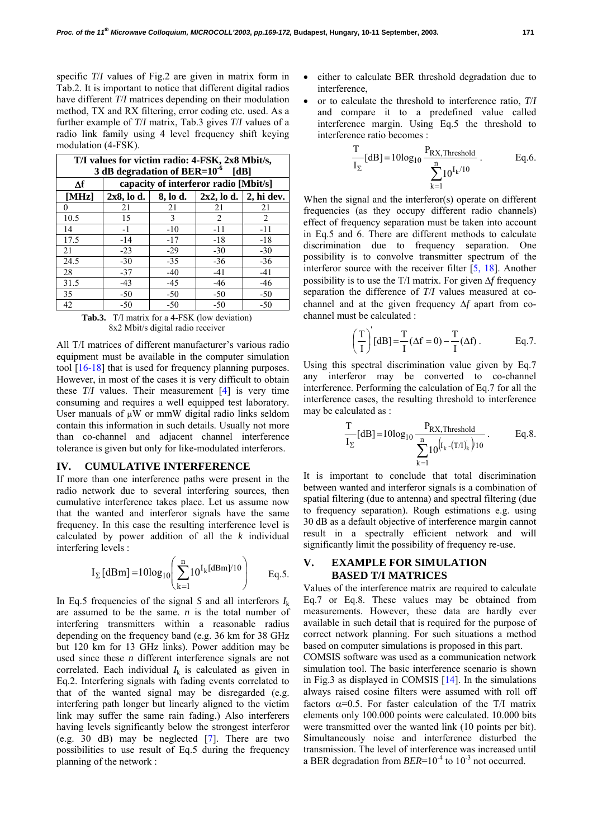specific *T*/*I* values of Fig.2 are given in matrix form in Tab.2. It is important to notice that different digital radios have different *T*/*I* matrices depending on their modulation method, TX and RX filtering, error coding etc. used. As a further example of *T*/*I* matrix, Tab.3 gives *T*/*I* values of a radio link family using 4 level frequency shift keying modulation (4-FSK).

| T/I values for victim radio: 4-FSK, 2x8 Mbit/s, |                                       |          |       |                            |  |  |  |  |
|-------------------------------------------------|---------------------------------------|----------|-------|----------------------------|--|--|--|--|
| 3 dB degradation of BER= $10^{-6}$<br>[dB]      |                                       |          |       |                            |  |  |  |  |
| Δf                                              | capacity of interferor radio [Mbit/s] |          |       |                            |  |  |  |  |
| [MHz]                                           | $2x8$ , lo d.                         | 8, lo d. |       | $2x2$ , lo d.   2, hi dev. |  |  |  |  |
| $\Omega$                                        | 21                                    | 21       | 21    | 21                         |  |  |  |  |
| 10.5                                            | 15                                    | 3        | 2     | 2                          |  |  |  |  |
| 14                                              | $-1$                                  | $-10$    | $-11$ | $-11$                      |  |  |  |  |
| 17.5                                            | $-14$                                 | $-17$    | $-18$ | $-18$                      |  |  |  |  |
| 21                                              | $-23$                                 | $-29$    | $-30$ | $-30$                      |  |  |  |  |
| 24.5                                            | $-30$                                 | $-35$    | $-36$ | $-36$                      |  |  |  |  |
| 28                                              | $-37$                                 | $-40$    | $-41$ | $-41$                      |  |  |  |  |
| 31.5                                            | $-43$                                 | $-45$    | $-46$ | $-46$                      |  |  |  |  |
| 35                                              | $-50$                                 | $-50$    | $-50$ | $-50$                      |  |  |  |  |
| 42                                              | $-50$                                 | $-50$    | $-50$ | $-50$                      |  |  |  |  |

**Tab.3.** T/I matrix for a 4-FSK (low deviation) 8x2 Mbit/s digital radio receiver

All T/I matrices of different manufacturer's various radio equipment must be available in the computer simulation tool [16-18] that is used for frequency planning purposes. However, in most of the cases it is very difficult to obtain these *T*/*I* values. Their measurement [4] is very time consuming and requires a well equipped test laboratory. User manuals of μW or mmW digital radio links seldom contain this information in such details. Usually not more than co-channel and adjacent channel interference tolerance is given but only for like-modulated interferors.

#### **IV. CUMULATIVE INTERFERENCE**

If more than one interference paths were present in the radio network due to several interfering sources, then cumulative interference takes place. Let us assume now that the wanted and interferor signals have the same frequency. In this case the resulting interference level is calculated by power addition of all the *k* individual interfering levels :

$$
I_{\Sigma}[\text{dBm}] = 10\log_{10}\left(\sum_{k=1}^{n} 10^{I_{k}[\text{dBm}]/10}\right) \qquad \text{Eq.5.}
$$

In Eq.5 frequencies of the signal *S* and all interferors  $I_k$ are assumed to be the same. *n* is the total number of interfering transmitters within a reasonable radius depending on the frequency band (e.g. 36 km for 38 GHz but 120 km for 13 GHz links). Power addition may be used since these *n* different interference signals are not correlated. Each individual  $I_k$  is calculated as given in Eq.2. Interfering signals with fading events correlated to that of the wanted signal may be disregarded (e.g. interfering path longer but linearly aligned to the victim link may suffer the same rain fading.) Also interferers having levels significantly below the strongest interferor (e.g. 30 dB) may be neglected [7]. There are two possibilities to use result of Eq.5 during the frequency planning of the network :

- either to calculate BER threshold degradation due to interference,
- or to calculate the threshold to interference ratio, *T*/*I* and compare it to a predefined value called interference margin. Using Eq.5 the threshold to interference ratio becomes :

$$
\frac{T}{I_{\Sigma}}[dB] = 10\log_{10}\frac{P_{RX, Threshold}}{\sum_{k=1}^{n} 10^{I_k/10}}.
$$
 Eq.6.

When the signal and the interferor(s) operate on different frequencies (as they occupy different radio channels) effect of frequency separation must be taken into account in Eq.5 and 6. There are different methods to calculate discrimination due to frequency separation. One possibility is to convolve transmitter spectrum of the interferor source with the receiver filter [5, 18]. Another possibility is to use the T/I matrix. For given Δ*f* frequency separation the difference of *T*/*I* values measured at cochannel and at the given frequency Δ*f* apart from cochannel must be calculated :

$$
\left(\frac{T}{I}\right)^{i} [dB] = \frac{T}{I} (\Delta f = 0) - \frac{T}{I} (\Delta f).
$$
 Eq.7.

Using this spectral discrimination value given by Eq.7 any interferor may be converted to co-channel interference. Performing the calculation of Eq.7 for all the interference cases, the resulting threshold to interference may be calculated as :

$$
\frac{T}{I_{\Sigma}}[dB] = 10\log_{10}\frac{P_{RX, Threshold}}{\sum_{k=1}^{n}10^{\left(I_{k}-(T/T)_{k}^{'}\right)/10}}.
$$
 Eq.8.

It is important to conclude that total discrimination between wanted and interferor signals is a combination of spatial filtering (due to antenna) and spectral filtering (due to frequency separation). Rough estimations e.g. using 30 dB as a default objective of interference margin cannot result in a spectrally efficient network and will significantly limit the possibility of frequency re-use.

### **V. EXAMPLE FOR SIMULATION BASED T/I MATRICES**

Values of the interference matrix are required to calculate Eq.7 or Eq.8. These values may be obtained from measurements. However, these data are hardly ever available in such detail that is required for the purpose of correct network planning. For such situations a method based on computer simulations is proposed in this part.

COMSIS software was used as a communication network simulation tool. The basic interference scenario is shown in Fig.3 as displayed in COMSIS [14]. In the simulations always raised cosine filters were assumed with roll off factors  $\alpha$ =0.5. For faster calculation of the T/I matrix elements only 100.000 points were calculated. 10.000 bits were transmitted over the wanted link (10 points per bit). Simultaneously noise and interference disturbed the transmission. The level of interference was increased until a BER degradation from *BER*=10-4 to 10-3 not occurred.